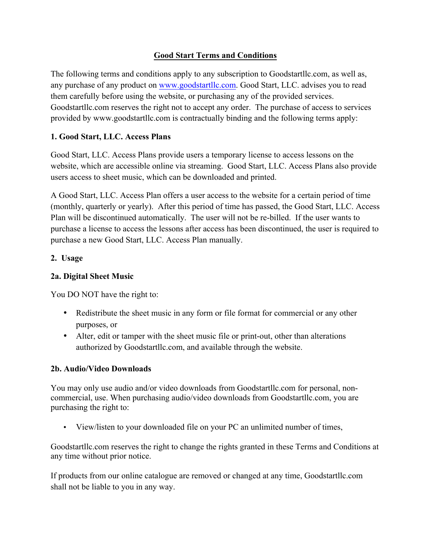## **Good Start Terms and Conditions**

The following terms and conditions apply to any subscription to Goodstartllc.com, as well as, any purchase of any product on www.goodstartllc.com. Good Start, LLC. advises you to read them carefully before using the website, or purchasing any of the provided services. Goodstartllc.com reserves the right not to accept any order. The purchase of access to services provided by www.goodstartllc.com is contractually binding and the following terms apply:

# **1. Good Start, LLC. Access Plans**

Good Start, LLC. Access Plans provide users a temporary license to access lessons on the website, which are accessible online via streaming. Good Start, LLC. Access Plans also provide users access to sheet music, which can be downloaded and printed.

A Good Start, LLC. Access Plan offers a user access to the website for a certain period of time (monthly, quarterly or yearly). After this period of time has passed, the Good Start, LLC. Access Plan will be discontinued automatically. The user will not be re-billed. If the user wants to purchase a license to access the lessons after access has been discontinued, the user is required to purchase a new Good Start, LLC. Access Plan manually.

### **2. Usage**

### **2a. Digital Sheet Music**

You DO NOT have the right to:

- Redistribute the sheet music in any form or file format for commercial or any other purposes, or
- Alter, edit or tamper with the sheet music file or print-out, other than alterations authorized by Goodstartllc.com, and available through the website.

### **2b. Audio/Video Downloads**

You may only use audio and/or video downloads from Goodstartllc.com for personal, noncommercial, use. When purchasing audio/video downloads from Goodstartllc.com, you are purchasing the right to:

• View/listen to your downloaded file on your PC an unlimited number of times,

Goodstartllc.com reserves the right to change the rights granted in these Terms and Conditions at any time without prior notice.

If products from our online catalogue are removed or changed at any time, Goodstartllc.com shall not be liable to you in any way.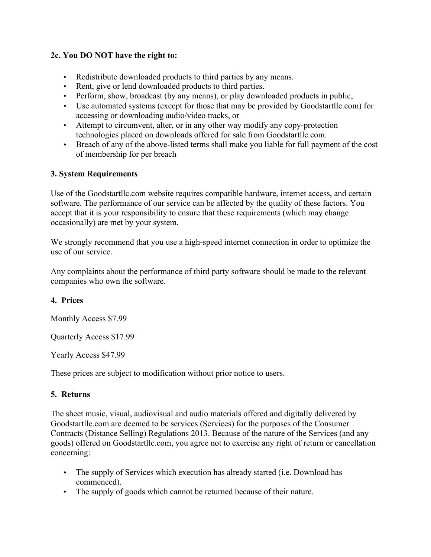### **2c. You DO NOT have the right to:**

- Redistribute downloaded products to third parties by any means.
- Rent, give or lend downloaded products to third parties.
- Perform, show, broadcast (by any means), or play downloaded products in public,
- Use automated systems (except for those that may be provided by Goodstartllc.com) for accessing or downloading audio/video tracks, or
- Attempt to circumvent, alter, or in any other way modify any copy-protection technologies placed on downloads offered for sale from Goodstartllc.com.
- Breach of any of the above-listed terms shall make you liable for full payment of the cost of membership for per breach

# **3. System Requirements**

Use of the Goodstartllc.com website requires compatible hardware, internet access, and certain software. The performance of our service can be affected by the quality of these factors. You accept that it is your responsibility to ensure that these requirements (which may change occasionally) are met by your system.

We strongly recommend that you use a high-speed internet connection in order to optimize the use of our service.

Any complaints about the performance of third party software should be made to the relevant companies who own the software.

# **4. Prices**

Monthly Access \$7.99

Quarterly Access \$17.99

Yearly Access \$47.99

These prices are subject to modification without prior notice to users.

# **5. Returns**

The sheet music, visual, audiovisual and audio materials offered and digitally delivered by Goodstartllc.com are deemed to be services (Services) for the purposes of the Consumer Contracts (Distance Selling) Regulations 2013. Because of the nature of the Services (and any goods) offered on Goodstartllc.com, you agree not to exercise any right of return or cancellation concerning:

- The supply of Services which execution has already started (i.e. Download has commenced).
- The supply of goods which cannot be returned because of their nature.